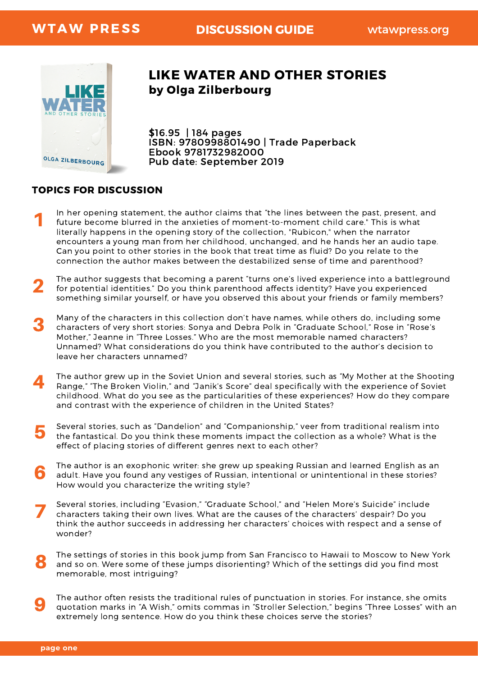

## by Olga Zilberbourg LIKE WATER AND OTHER STORIES

\$16.95 | 184 pages ISBN: 9780998801490 | Trade Paperback Ebook 9781732982000 Pub date: September 2019

## TOPICS FOR DISCUSSION

- In her opening statement, the author claims that "the lines between the past, present, and future become blurred in the anxieties of moment-to-moment child care." This is what literally happens in the opening story of the collection, "Rubicon," when the narrator encounters a young man from her childhood, unchanged, and he hands her an audio tape. Can you point to other stories in the book that treat time as fluid? Do you relate to the connection the author makes between the destabilized sense of time and parenthood? 1
- 2 The author suggests that becoming a parent "turns one's lived experience into a battleground for potential identities." Do you think parenthood affects identity? Have you experienced something similar yourself, or have you observed this about your friends or family members?
- 3 Many of the characters in this collection don't have names, while others do, including some characters of very short stories: Sonya and Debra Polk in "Graduate School," Rose in "Rose's Mother," Jeanne in "Three Losses." Who are the most memorable named characters? Unnamed? What considerations do you think have contributed to the author's decision to leave her characters unnamed?
- 4 The author grew up in the Soviet Union and several stories, such as "My Mother at the Shooting Range," "The Broken Violin," and "Janik's Score" deal specifically with the experience of Soviet childhood. What do you see as the particularities of these experiences? How do they compare and contrast with the experience of children in the United States?
- Several stories, such as "Dandelion" and "Companionship," veer from traditional realism into the fantastical. Do you think these moments impact the collection as a whole? What is the effect of placing stories of different genres next to each other? 5
- The author is an exophonic writer: she grew up speaking Russian and learned English as an adult. Have you found any vestiges of Russian, intentional or unintentional in these stories? How would you characterize the writing style? 6
- Several stories, including "Evasion," "Graduate School," and "Helen More's Suicide" include characters taking their own lives. What are the causes of the characters' despair? Do you think the author succeeds in addressing her characters' choices with respect and a sense of wonder? 7
- The settings of stories in this book jump from San Francisco to Hawaii to Moscow to New York and so on. Were some of these jumps disorienting? Which of the settings did you find most memorable, most intriguing? 8
- The author often resists the traditional rules of punctuation in stories. For instance, she omits quotation marks in "A Wish," omits commas in "Stroller Selection," begins "Three Losses" with an extremely long sentence. How do you think these choices serve the stories? 9